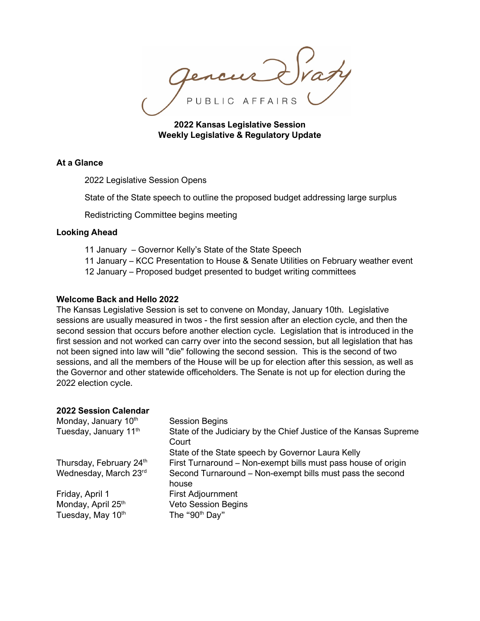PUBLIC AFFAIRS

**2022 Kansas Legislative Session Weekly Legislative & Regulatory Update**

# **At a Glance**

2022 Legislative Session Opens

State of the State speech to outline the proposed budget addressing large surplus

Redistricting Committee begins meeting

### **Looking Ahead**

- 11 January Governor Kelly's State of the State Speech
- 11 January KCC Presentation to House & Senate Utilities on February weather event
- 12 January Proposed budget presented to budget writing committees

## **Welcome Back and Hello 2022**

The Kansas Legislative Session is set to convene on Monday, January 10th. Legislative sessions are usually measured in twos - the first session after an election cycle, and then the second session that occurs before another election cycle. Legislation that is introduced in the first session and not worked can carry over into the second session, but all legislation that has not been signed into law will "die" following the second session. This is the second of two sessions, and all the members of the House will be up for election after this session, as well as the Governor and other statewide officeholders. The Senate is not up for election during the 2022 election cycle.

### **2022 Session Calendar**

| Monday, January 10th<br>Tuesday, January 11th              | <b>Session Begins</b><br>State of the Judiciary by the Chief Justice of the Kansas Supreme<br>Court<br>State of the State speech by Governor Laura Kelly |
|------------------------------------------------------------|----------------------------------------------------------------------------------------------------------------------------------------------------------|
| Thursday, February 24th<br>Wednesday, March 23rd           | First Turnaround – Non-exempt bills must pass house of origin<br>Second Turnaround – Non-exempt bills must pass the second<br>house                      |
| Friday, April 1<br>Monday, April 25th<br>Tuesday, May 10th | First Adjournment<br><b>Veto Session Begins</b><br>The "90 <sup>th</sup> Day"                                                                            |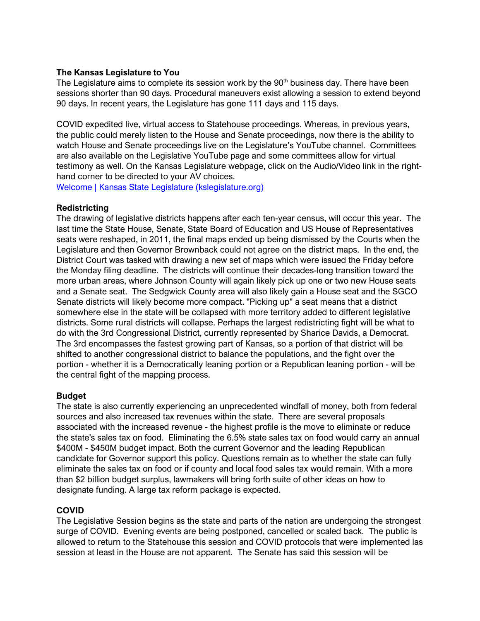## **The Kansas Legislature to You**

The Legislature aims to complete its session work by the  $90<sup>th</sup>$  business day. There have been sessions shorter than 90 days. Procedural maneuvers exist allowing a session to extend beyond 90 days. In recent years, the Legislature has gone 111 days and 115 days.

COVID expedited live, virtual access to Statehouse proceedings. Whereas, in previous years, the public could merely listen to the House and Senate proceedings, now there is the ability to watch House and Senate proceedings live on the Legislature's YouTube channel. Committees are also available on the Legislative YouTube page and some committees allow for virtual testimony as well. On the Kansas Legislature webpage, click on the Audio/Video link in the righthand corner to be directed to your AV choices.

[Welcome | Kansas State Legislature \(kslegislature.org\)](http://www.kslegislature.org/li/)

### **Redistricting**

The drawing of legislative districts happens after each ten-year census, will occur this year. The last time the State House, Senate, State Board of Education and US House of Representatives seats were reshaped, in 2011, the final maps ended up being dismissed by the Courts when the Legislature and then Governor Brownback could not agree on the district maps. In the end, the District Court was tasked with drawing a new set of maps which were issued the Friday before the Monday filing deadline. The districts will continue their decades-long transition toward the more urban areas, where Johnson County will again likely pick up one or two new House seats and a Senate seat. The Sedgwick County area will also likely gain a House seat and the SGCO Senate districts will likely become more compact. "Picking up" a seat means that a district somewhere else in the state will be collapsed with more territory added to different legislative districts. Some rural districts will collapse. Perhaps the largest redistricting fight will be what to do with the 3rd Congressional District, currently represented by Sharice Davids, a Democrat. The 3rd encompasses the fastest growing part of Kansas, so a portion of that district will be shifted to another congressional district to balance the populations, and the fight over the portion - whether it is a Democratically leaning portion or a Republican leaning portion - will be the central fight of the mapping process.

### **Budget**

The state is also currently experiencing an unprecedented windfall of money, both from federal sources and also increased tax revenues within the state. There are several proposals associated with the increased revenue - the highest profile is the move to eliminate or reduce the state's sales tax on food. Eliminating the 6.5% state sales tax on food would carry an annual \$400M - \$450M budget impact. Both the current Governor and the leading Republican candidate for Governor support this policy. Questions remain as to whether the state can fully eliminate the sales tax on food or if county and local food sales tax would remain. With a more than \$2 billion budget surplus, lawmakers will bring forth suite of other ideas on how to designate funding. A large tax reform package is expected.

# **COVID**

The Legislative Session begins as the state and parts of the nation are undergoing the strongest surge of COVID. Evening events are being postponed, cancelled or scaled back. The public is allowed to return to the Statehouse this session and COVID protocols that were implemented las session at least in the House are not apparent. The Senate has said this session will be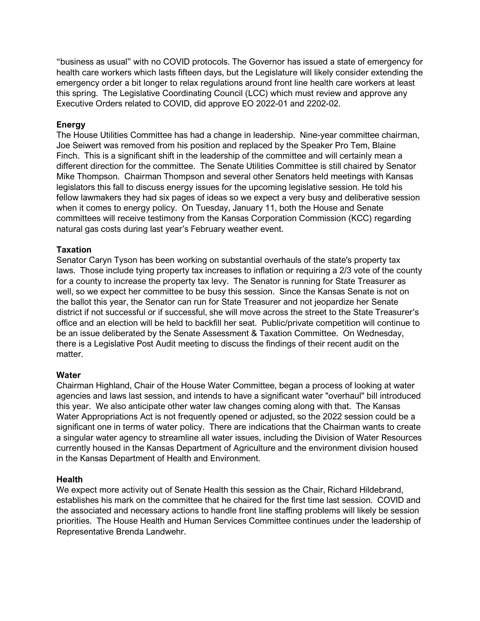"business as usual" with no COVID protocols. The Governor has issued a state of emergency for health care workers which lasts fifteen days, but the Legislature will likely consider extending the emergency order a bit longer to relax regulations around front line health care workers at least this spring. The Legislative Coordinating Council (LCC) which must review and approve any Executive Orders related to COVID, did approve EO 2022-01 and 2202-02.

# **Energy**

The House Utilities Committee has had a change in leadership. Nine-year committee chairman, Joe Seiwert was removed from his position and replaced by the Speaker Pro Tem, Blaine Finch. This is a significant shift in the leadership of the committee and will certainly mean a different direction for the committee. The Senate Utilities Committee is still chaired by Senator Mike Thompson. Chairman Thompson and several other Senators held meetings with Kansas legislators this fall to discuss energy issues for the upcoming legislative session. He told his fellow lawmakers they had six pages of ideas so we expect a very busy and deliberative session when it comes to energy policy. On Tuesday, January 11, both the House and Senate committees will receive testimony from the Kansas Corporation Commission (KCC) regarding natural gas costs during last year's February weather event.

# **Taxation**

Senator Caryn Tyson has been working on substantial overhauls of the state's property tax laws. Those include tying property tax increases to inflation or requiring a 2/3 vote of the county for a county to increase the property tax levy. The Senator is running for State Treasurer as well, so we expect her committee to be busy this session. Since the Kansas Senate is not on the ballot this year, the Senator can run for State Treasurer and not jeopardize her Senate district if not successful or if successful, she will move across the street to the State Treasurer's office and an election will be held to backfill her seat. Public/private competition will continue to be an issue deliberated by the Senate Assessment & Taxation Committee. On Wednesday, there is a Legislative Post Audit meeting to discuss the findings of their recent audit on the matter.

# **Water**

Chairman Highland, Chair of the House Water Committee, began a process of looking at water agencies and laws last session, and intends to have a significant water "overhaul" bill introduced this year. We also anticipate other water law changes coming along with that. The Kansas Water Appropriations Act is not frequently opened or adjusted, so the 2022 session could be a significant one in terms of water policy. There are indications that the Chairman wants to create a singular water agency to streamline all water issues, including the Division of Water Resources currently housed in the Kansas Department of Agriculture and the environment division housed in the Kansas Department of Health and Environment.

# **Health**

We expect more activity out of Senate Health this session as the Chair, Richard Hildebrand, establishes his mark on the committee that he chaired for the first time last session. COVID and the associated and necessary actions to handle front line staffing problems will likely be session priorities. The House Health and Human Services Committee continues under the leadership of Representative Brenda Landwehr.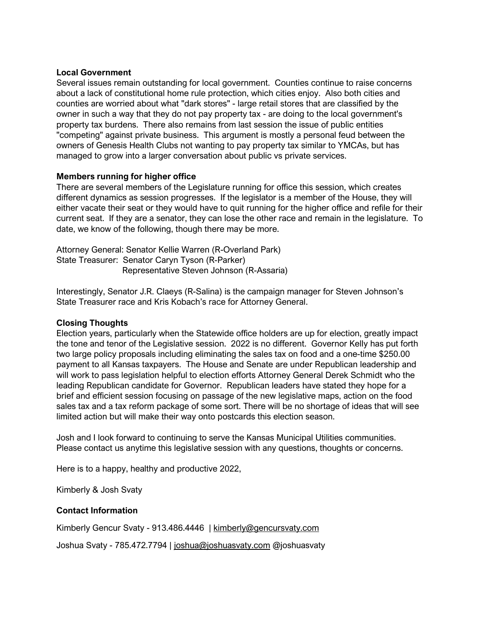### **Local Government**

Several issues remain outstanding for local government. Counties continue to raise concerns about a lack of constitutional home rule protection, which cities enjoy. Also both cities and counties are worried about what "dark stores" - large retail stores that are classified by the owner in such a way that they do not pay property tax - are doing to the local government's property tax burdens. There also remains from last session the issue of public entities "competing" against private business. This argument is mostly a personal feud between the owners of Genesis Health Clubs not wanting to pay property tax similar to YMCAs, but has managed to grow into a larger conversation about public vs private services.

# **Members running for higher office**

There are several members of the Legislature running for office this session, which creates different dynamics as session progresses. If the legislator is a member of the House, they will either vacate their seat or they would have to quit running for the higher office and refile for their current seat. If they are a senator, they can lose the other race and remain in the legislature. To date, we know of the following, though there may be more.

Attorney General: Senator Kellie Warren (R-Overland Park) State Treasurer: Senator Caryn Tyson (R-Parker) Representative Steven Johnson (R-Assaria)

Interestingly, Senator J.R. Claeys (R-Salina) is the campaign manager for Steven Johnson's State Treasurer race and Kris Kobach's race for Attorney General.

# **Closing Thoughts**

Election years, particularly when the Statewide office holders are up for election, greatly impact the tone and tenor of the Legislative session. 2022 is no different. Governor Kelly has put forth two large policy proposals including eliminating the sales tax on food and a one-time \$250.00 payment to all Kansas taxpayers. The House and Senate are under Republican leadership and will work to pass legislation helpful to election efforts Attorney General Derek Schmidt who the leading Republican candidate for Governor. Republican leaders have stated they hope for a brief and efficient session focusing on passage of the new legislative maps, action on the food sales tax and a tax reform package of some sort. There will be no shortage of ideas that will see limited action but will make their way onto postcards this election season.

Josh and I look forward to continuing to serve the Kansas Municipal Utilities communities. Please contact us anytime this legislative session with any questions, thoughts or concerns.

Here is to a happy, healthy and productive 2022,

Kimberly & Josh Svaty

# **Contact Information**

Kimberly Gencur Svaty - 913.486.4446 | [kimberly@gencursvaty.com](mailto:kimberly@gencursvaty.com)

Joshua Svaty - 785.472.7794 | [joshua@joshuasvaty.com](mailto:joshua@joshuasvaty.com) @joshuasvaty